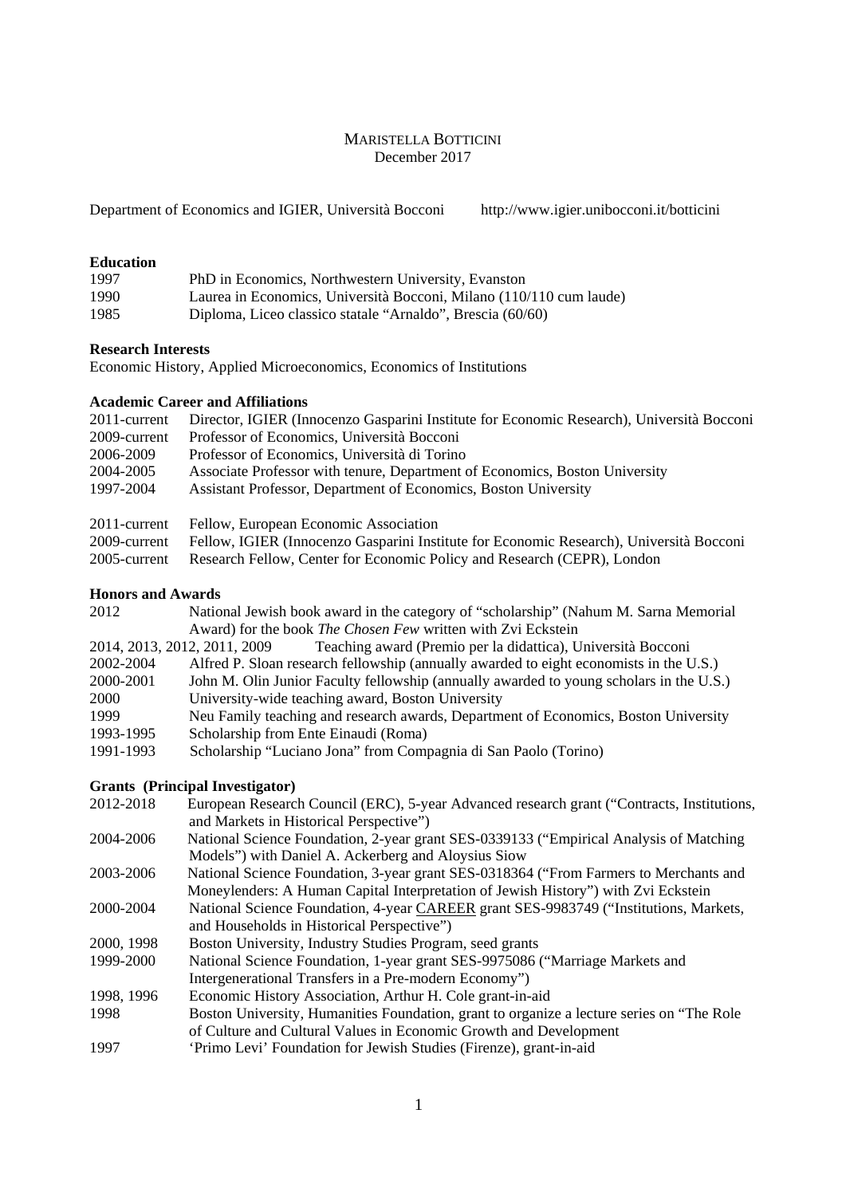## MARISTELLA BOTTICINI December 2017

Department of Economics and IGIER, Università Bocconi http://www.igier.unibocconi.it/botticini

# **Education**

| 1997 | PhD in Economics, Northwestern University, Evanston                 |
|------|---------------------------------------------------------------------|
| 1990 | Laurea in Economics, Università Bocconi, Milano (110/110 cum laude) |
| 1985 | Diploma, Liceo classico statale "Arnaldo", Brescia (60/60)          |

# **Research Interests**

Economic History, Applied Microeconomics, Economics of Institutions

# **Academic Career and Affiliations**

| 2011-current | Director, IGIER (Innocenzo Gasparini Institute for Economic Research), Università Bocconi |
|--------------|-------------------------------------------------------------------------------------------|
| 2009-current | Professor of Economics, Università Bocconi                                                |
| 2006-2009    | Professor of Economics, Università di Torino                                              |
| 2004-2005    | Associate Professor with tenure, Department of Economics, Boston University               |
| 1997-2004    | Assistant Professor, Department of Economics, Boston University                           |
| 2011-current | Fellow, European Economic Association                                                     |
| 2009-current | Fellow, IGIER (Innocenzo Gasparini Institute for Economic Research), Università Bocconi   |
| 2005-current | Research Fellow, Center for Economic Policy and Research (CEPR), London                   |

## **Honors and Awards**

| 2012      | National Jewish book award in the category of "scholarship" (Nahum M. Sarna Memorial         |
|-----------|----------------------------------------------------------------------------------------------|
|           | Award) for the book The Chosen Few written with Zvi Eckstein                                 |
|           | 2014, 2013, 2012, 2011, 2009<br>Teaching award (Premio per la didattica), Università Bocconi |
| 2002-2004 | Alfred P. Sloan research fellowship (annually awarded to eight economists in the U.S.)       |
| 2000-2001 | John M. Olin Junior Faculty fellowship (annually awarded to young scholars in the U.S.)      |
| 2000      | University-wide teaching award, Boston University                                            |
| 1999      | Neu Family teaching and research awards, Department of Economics, Boston University          |
| 1993-1995 | Scholarship from Ente Einaudi (Roma)                                                         |
| 1991-1993 | Scholarship "Luciano Jona" from Compagnia di San Paolo (Torino)                              |
|           |                                                                                              |

# **Grants (Principal Investigator)**

| 2012-2018  | European Research Council (ERC), 5-year Advanced research grant ("Contracts, Institutions, |
|------------|--------------------------------------------------------------------------------------------|
|            | and Markets in Historical Perspective")                                                    |
| 2004-2006  | National Science Foundation, 2-year grant SES-0339133 ("Empirical Analysis of Matching     |
|            | Models") with Daniel A. Ackerberg and Aloysius Siow                                        |
| 2003-2006  | National Science Foundation, 3-year grant SES-0318364 ("From Farmers to Merchants and      |
|            | Moneylenders: A Human Capital Interpretation of Jewish History") with Zvi Eckstein         |
| 2000-2004  | National Science Foundation, 4-year CAREER grant SES-9983749 ("Institutions, Markets,      |
|            | and Households in Historical Perspective")                                                 |
| 2000, 1998 | Boston University, Industry Studies Program, seed grants                                   |
| 1999-2000  | National Science Foundation, 1-year grant SES-9975086 ("Marriage Markets and               |
|            | Intergenerational Transfers in a Pre-modern Economy")                                      |
| 1998, 1996 | Economic History Association, Arthur H. Cole grant-in-aid                                  |
| 1998       | Boston University, Humanities Foundation, grant to organize a lecture series on "The Role" |
|            | of Culture and Cultural Values in Economic Growth and Development                          |
| 1997       | 'Primo Levi' Foundation for Jewish Studies (Firenze), grant-in-aid                         |
|            |                                                                                            |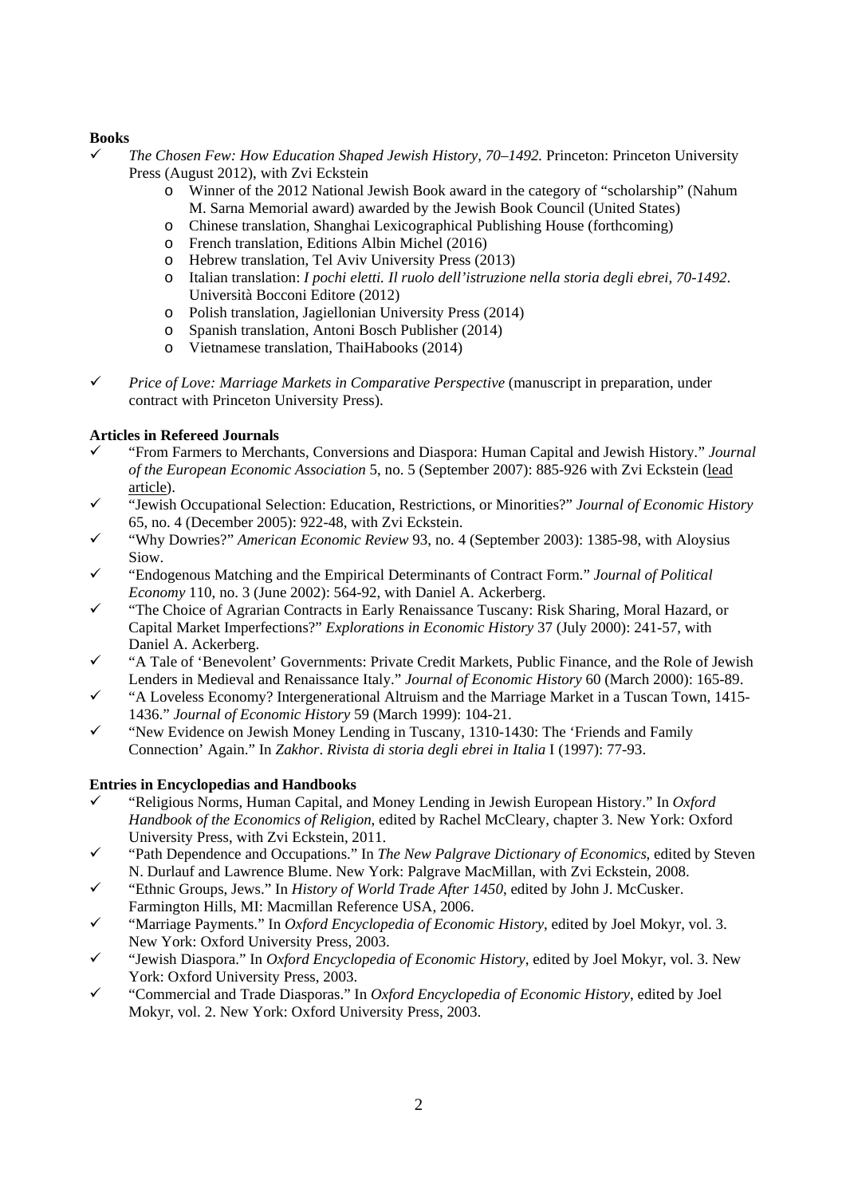# **Books**

- *The Chosen Few: How Education Shaped Jewish History, 70–1492.* Princeton: Princeton University Press (August 2012), with Zvi Eckstein
	- o Winner of the 2012 National Jewish Book award in the category of "scholarship" (Nahum M. Sarna Memorial award) awarded by the Jewish Book Council (United States)
	- o Chinese translation, Shanghai Lexicographical Publishing House (forthcoming)
	- o French translation, Editions Albin Michel (2016)
	- o Hebrew translation, Tel Aviv University Press (2013)
	- o Italian translation: *I pochi eletti. Il ruolo dell'istruzione nella storia degli ebrei, 70-1492*. Università Bocconi Editore (2012)
	- o Polish translation, Jagiellonian University Press (2014)
	- o Spanish translation, Antoni Bosch Publisher (2014)
	- o Vietnamese translation, ThaiHabooks (2014)
- *Price of Love: Marriage Markets in Comparative Perspective* (manuscript in preparation, under contract with Princeton University Press).

# **Articles in Refereed Journals**

- "From Farmers to Merchants, Conversions and Diaspora: Human Capital and Jewish History*.*" *Journal of the European Economic Association* 5, no. 5 (September 2007): 885-926 with Zvi Eckstein (lead article).
- "Jewish Occupational Selection: Education, Restrictions, or Minorities?" *Journal of Economic History* 65, no. 4 (December 2005): 922-48, with Zvi Eckstein.
- "Why Dowries?" *American Economic Review* 93, no. 4 (September 2003): 1385-98, with Aloysius Siow.
- "Endogenous Matching and the Empirical Determinants of Contract Form." *Journal of Political Economy* 110, no. 3 (June 2002): 564-92, with Daniel A. Ackerberg.
- "The Choice of Agrarian Contracts in Early Renaissance Tuscany: Risk Sharing, Moral Hazard, or Capital Market Imperfections?" *Explorations in Economic History* 37 (July 2000): 241-57, with Daniel A. Ackerberg.
- "A Tale of 'Benevolent' Governments: Private Credit Markets, Public Finance, and the Role of Jewish Lenders in Medieval and Renaissance Italy." *Journal of Economic History* 60 (March 2000): 165-89.
- "A Loveless Economy? Intergenerational Altruism and the Marriage Market in a Tuscan Town, 1415- 1436." *Journal of Economic History* 59 (March 1999): 104-21.
- "New Evidence on Jewish Money Lending in Tuscany, 1310-1430: The 'Friends and Family Connection' Again." In *Zakhor*. *Rivista di storia degli ebrei in Italia* I (1997): 77-93.

## **Entries in Encyclopedias and Handbooks**

- "Religious Norms, Human Capital, and Money Lending in Jewish European History." In *Oxford Handbook of the Economics of Religion*, edited by Rachel McCleary, chapter 3. New York: Oxford University Press, with Zvi Eckstein, 2011.
- "Path Dependence and Occupations." In *The New Palgrave Dictionary of Economics*, edited by Steven N. Durlauf and Lawrence Blume. New York: Palgrave MacMillan, with Zvi Eckstein, 2008.
- "Ethnic Groups, Jews." In *History of World Trade After 1450*, edited by John J. McCusker. Farmington Hills, MI: Macmillan Reference USA, 2006.
- "Marriage Payments." In *Oxford Encyclopedia of Economic History*, edited by Joel Mokyr, vol. 3. New York: Oxford University Press, 2003.
- "Jewish Diaspora." In *Oxford Encyclopedia of Economic History*, edited by Joel Mokyr, vol. 3. New York: Oxford University Press, 2003.
- "Commercial and Trade Diasporas." In *Oxford Encyclopedia of Economic History*, edited by Joel Mokyr, vol. 2. New York: Oxford University Press, 2003.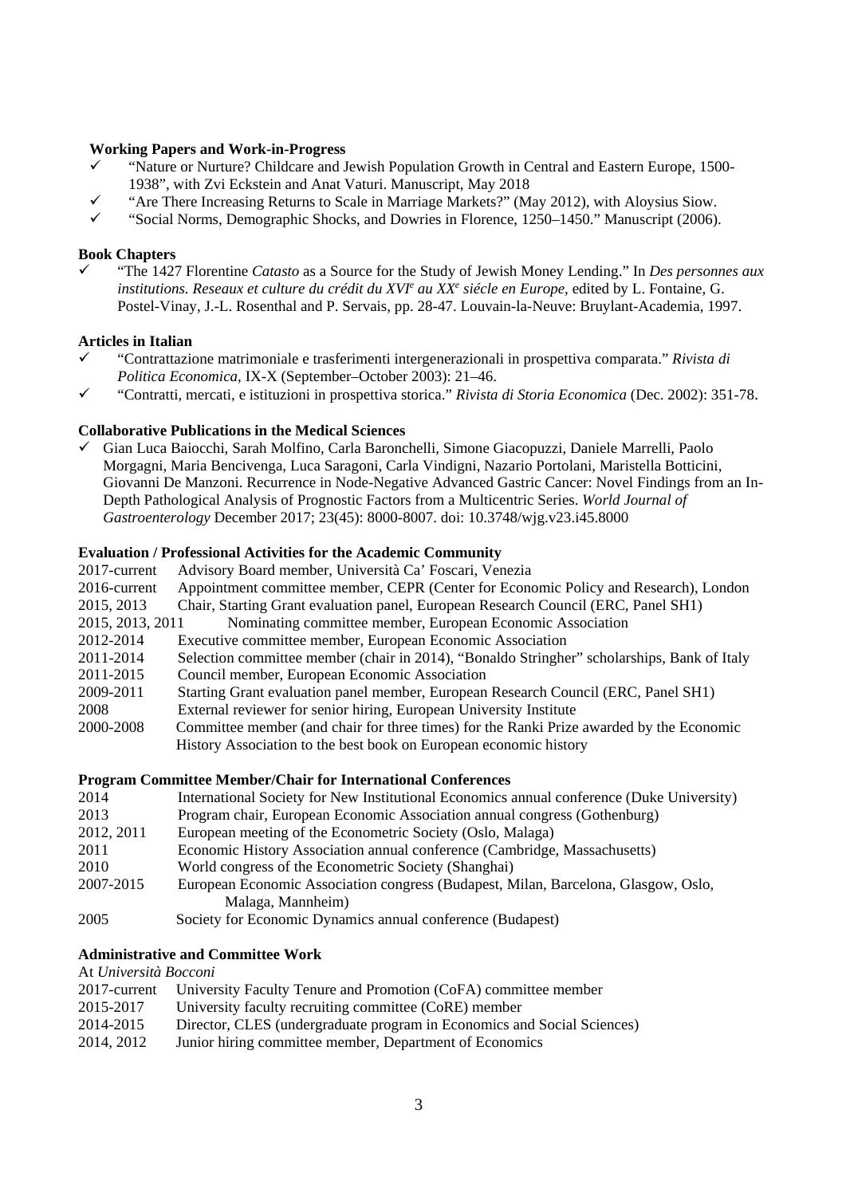#### **Working Papers and Work-in-Progress**

- "Nature or Nurture? Childcare and Jewish Population Growth in Central and Eastern Europe, 1500- 1938", with Zvi Eckstein and Anat Vaturi. Manuscript, May 2018
- "Are There Increasing Returns to Scale in Marriage Markets?" (May 2012), with Aloysius Siow.
- $\checkmark$  "Social Norms, Demographic Shocks, and Dowries in Florence, 1250–1450." Manuscript (2006).

#### **Book Chapters**

 "The 1427 Florentine *Catasto* as a Source for the Study of Jewish Money Lending." In *Des personnes aux*  institutions. Reseaux et culture du crédit du XVI<sup>e</sup> au XX<sup>e</sup> siécle en Europe, edited by L. Fontaine, G. Postel-Vinay, J.-L. Rosenthal and P. Servais, pp. 28-47. Louvain-la-Neuve: Bruylant-Academia, 1997.

## **Articles in Italian**

- "Contrattazione matrimoniale e trasferimenti intergenerazionali in prospettiva comparata." *Rivista di Politica Economica*, IX-X (September–October 2003): 21–46.
- "Contratti, mercati, e istituzioni in prospettiva storica." *Rivista di Storia Economica* (Dec. 2002): 351-78.

## **Collaborative Publications in the Medical Sciences**

 Gian Luca Baiocchi, Sarah Molfino, Carla Baronchelli, Simone Giacopuzzi, Daniele Marrelli, Paolo Morgagni, Maria Bencivenga, Luca Saragoni, Carla Vindigni, Nazario Portolani, Maristella Botticini, Giovanni De Manzoni. Recurrence in Node-Negative Advanced Gastric Cancer: Novel Findings from an In-Depth Pathological Analysis of Prognostic Factors from a Multicentric Series. *World Journal of Gastroenterology* December 2017; 23(45): 8000-8007. doi: 10.3748/wjg.v23.i45.8000

## **Evaluation / Professional Activities for the Academic Community**

| 2017-current     | Advisory Board member, Università Ca' Foscari, Venezia                                      |
|------------------|---------------------------------------------------------------------------------------------|
| 2016-current     | Appointment committee member, CEPR (Center for Economic Policy and Research), London        |
| 2015, 2013       | Chair, Starting Grant evaluation panel, European Research Council (ERC, Panel SH1)          |
| 2015, 2013, 2011 | Nominating committee member, European Economic Association                                  |
| 2012-2014        | Executive committee member, European Economic Association                                   |
| 2011-2014        | Selection committee member (chair in 2014), "Bonaldo Stringher" scholarships, Bank of Italy |
| 2011-2015        | Council member, European Economic Association                                               |
| 2009-2011        | Starting Grant evaluation panel member, European Research Council (ERC, Panel SH1)          |
| 2008             | External reviewer for senior hiring, European University Institute                          |
| 2000-2008        | Committee member (and chair for three times) for the Ranki Prize awarded by the Economic    |
|                  | History Association to the best book on European economic history                           |

#### **Program Committee Member/Chair for International Conferences**

| 2014       | International Society for New Institutional Economics annual conference (Duke University) |
|------------|-------------------------------------------------------------------------------------------|
| 2013       | Program chair, European Economic Association annual congress (Gothenburg)                 |
| 2012, 2011 | European meeting of the Econometric Society (Oslo, Malaga)                                |
| 2011       | Economic History Association annual conference (Cambridge, Massachusetts)                 |
| 2010       | World congress of the Econometric Society (Shanghai)                                      |
| 2007-2015  | European Economic Association congress (Budapest, Milan, Barcelona, Glasgow, Oslo,        |
|            | Malaga, Mannheim)                                                                         |
| 2005       | Society for Economic Dynamics annual conference (Budapest)                                |

#### **Administrative and Committee Work**

# At *Università Bocconi*

| 2017-current | University Faculty Tenure and Promotion (CoFA) committee member         |
|--------------|-------------------------------------------------------------------------|
| 2015-2017    | University faculty recruiting committee (CoRE) member                   |
| 2014-2015    | Director, CLES (undergraduate program in Economics and Social Sciences) |
| 2014, 2012   | Junior hiring committee member, Department of Economics                 |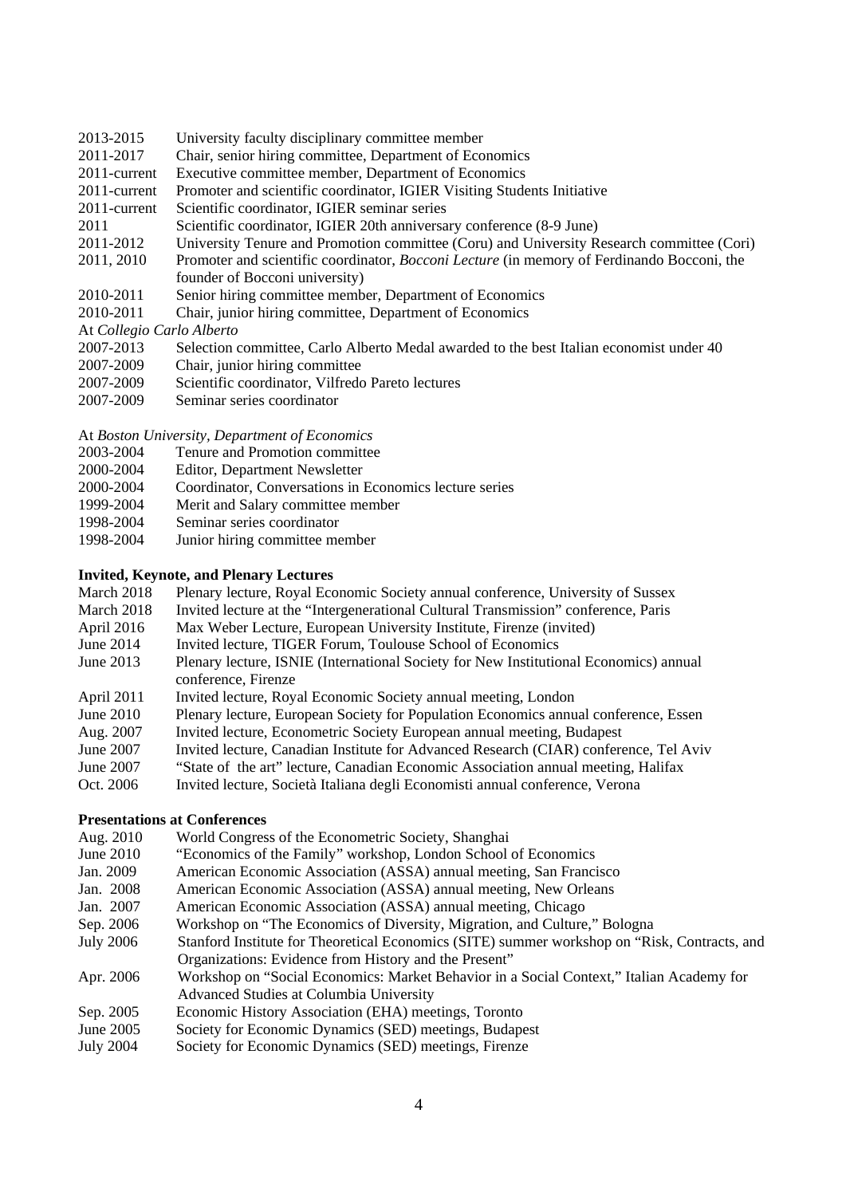- 2013-2015 University faculty disciplinary committee member
- 2011-2017 Chair, senior hiring committee, Department of Economics
- 2011-current Executive committee member, Department of Economics
- 2011-current Promoter and scientific coordinator, IGIER Visiting Students Initiative
- 2011-current Scientific coordinator, IGIER seminar series
- 2011 Scientific coordinator, IGIER 20th anniversary conference (8-9 June)
- 2011-2012 University Tenure and Promotion committee (Coru) and University Research committee (Cori)
- 2011, 2010 Promoter and scientific coordinator, *Bocconi Lecture* (in memory of Ferdinando Bocconi, the founder of Bocconi university)
- 2010-2011 Senior hiring committee member, Department of Economics
- 2010-2011 Chair, junior hiring committee, Department of Economics

At *Collegio Carlo Alberto*

- 2007-2013 Selection committee, Carlo Alberto Medal awarded to the best Italian economist under 40
- 2007-2009 Chair, junior hiring committee
- 2007-2009 Scientific coordinator, Vilfredo Pareto lectures
- 2007-2009 Seminar series coordinator

At *Boston University, Department of Economics*

- 2003-2004 Tenure and Promotion committee
- 2000-2004 Editor, Department Newsletter
- 2000-2004 Coordinator, Conversations in Economics lecture series
- 1999-2004 Merit and Salary committee member
- 1998-2004 Seminar series coordinator
- 1998-2004 Junior hiring committee member

## **Invited, Keynote, and Plenary Lectures**

March 2018 Plenary lecture, Royal Economic Society annual conference, University of Sussex March 2018 Invited lecture at the "Intergenerational Cultural Transmission" conference, Paris April 2016 Max Weber Lecture, European University Institute, Firenze (invited) June 2014 Invited lecture, TIGER Forum, Toulouse School of Economics June 2013 Plenary lecture, ISNIE (International Society for New Institutional Economics) annual conference, Firenze April 2011 Invited lecture, Royal Economic Society annual meeting, London June 2010 Plenary lecture, European Society for Population Economics annual conference, Essen Aug. 2007 Invited lecture, Econometric Society European annual meeting, Budapest June 2007 Invited lecture, Canadian Institute for Advanced Research (CIAR) conference, Tel Aviv June 2007 "State of the art" lecture, Canadian Economic Association annual meeting, Halifax Oct. 2006 Invited lecture, Società Italiana degli Economisti annual conference, Verona

## **Presentations at Conferences**

Aug. 2010 World Congress of the Econometric Society, Shanghai June 2010 "Economics of the Family" workshop, London School of Economics Jan. 2009 American Economic Association (ASSA) annual meeting, San Francisco Jan. 2008 American Economic Association (ASSA) annual meeting, New Orleans Jan. 2007 American Economic Association (ASSA) annual meeting, Chicago Sep. 2006 Workshop on "The Economics of Diversity, Migration, and Culture," Bologna July 2006 Stanford Institute for Theoretical Economics (SITE) summer workshop on "Risk, Contracts, and Organizations: Evidence from History and the Present" Apr. 2006 Workshop on "Social Economics: Market Behavior in a Social Context," Italian Academy for Advanced Studies at Columbia University Sep. 2005 Economic History Association (EHA) meetings, Toronto June 2005 Society for Economic Dynamics (SED) meetings, Budapest July 2004 Society for Economic Dynamics (SED) meetings, Firenze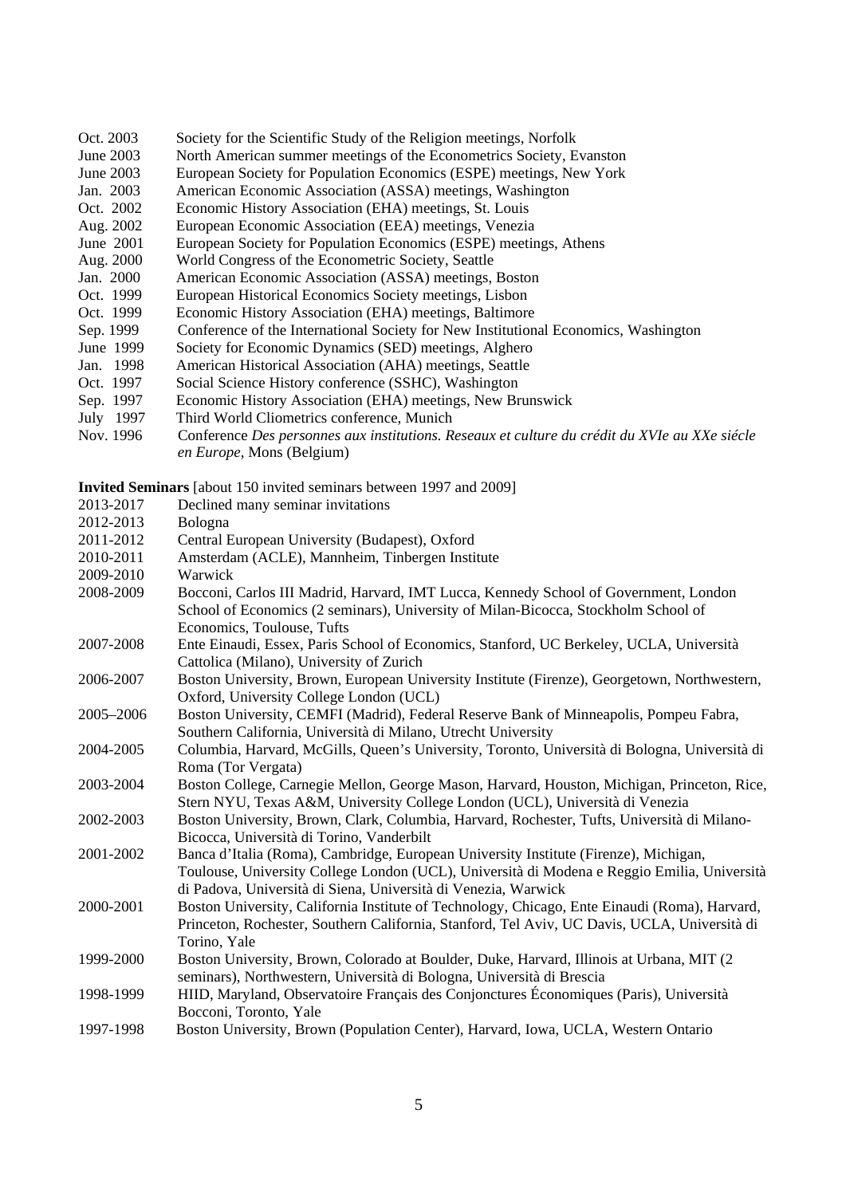| Oct. 2003 |  | Society for the Scientific Study of the Religion meetings, Norfolk |  |
|-----------|--|--------------------------------------------------------------------|--|
|           |  |                                                                    |  |

- June 2003 North American summer meetings of the Econometrics Society, Evanston
- June 2003 European Society for Population Economics (ESPE) meetings, New York
- Jan. 2003 American Economic Association (ASSA) meetings, Washington
- Oct. 2002 Economic History Association (EHA) meetings, St. Louis
- Aug. 2002 European Economic Association (EEA) meetings, Venezia
- June 2001 European Society for Population Economics (ESPE) meetings, Athens
- Aug. 2000 World Congress of the Econometric Society, Seattle
- Jan. 2000 American Economic Association (ASSA) meetings, Boston
- Oct. 1999 European Historical Economics Society meetings, Lisbon
- Oct. 1999 Economic History Association (EHA) meetings, Baltimore
- Sep. 1999 Conference of the International Society for New Institutional Economics, Washington
- June 1999 Society for Economic Dynamics (SED) meetings, Alghero<br>Jan. 1998 American Historical Association (AHA) meetings, Seattle
- American Historical Association (AHA) meetings, Seattle
- Oct. 1997 Social Science History conference (SSHC), Washington
- Sep. 1997 Economic History Association (EHA) meetings, New Brunswick
- July 1997 Third World Cliometrics conference, Munich
- Nov. 1996 Conference *Des personnes aux institutions. Reseaux et culture du crédit du XVIe au XXe siécle en Europe*, Mons (Belgium)

**Invited Seminars** [about 150 invited seminars between 1997 and 2009]

| 2013-2017 | Declined many seminar invitations                                                                                                                                                                                                                     |
|-----------|-------------------------------------------------------------------------------------------------------------------------------------------------------------------------------------------------------------------------------------------------------|
| 2012-2013 | Bologna                                                                                                                                                                                                                                               |
| 2011-2012 | Central European University (Budapest), Oxford                                                                                                                                                                                                        |
| 2010-2011 | Amsterdam (ACLE), Mannheim, Tinbergen Institute                                                                                                                                                                                                       |
| 2009-2010 | Warwick                                                                                                                                                                                                                                               |
| 2008-2009 | Bocconi, Carlos III Madrid, Harvard, IMT Lucca, Kennedy School of Government, London<br>School of Economics (2 seminars), University of Milan-Bicocca, Stockholm School of<br>Economics, Toulouse, Tufts                                              |
| 2007-2008 | Ente Einaudi, Essex, Paris School of Economics, Stanford, UC Berkeley, UCLA, Università<br>Cattolica (Milano), University of Zurich                                                                                                                   |
| 2006-2007 | Boston University, Brown, European University Institute (Firenze), Georgetown, Northwestern,<br>Oxford, University College London (UCL)                                                                                                               |
| 2005-2006 | Boston University, CEMFI (Madrid), Federal Reserve Bank of Minneapolis, Pompeu Fabra,<br>Southern California, Università di Milano, Utrecht University                                                                                                |
| 2004-2005 | Columbia, Harvard, McGills, Queen's University, Toronto, Università di Bologna, Università di<br>Roma (Tor Vergata)                                                                                                                                   |
| 2003-2004 | Boston College, Carnegie Mellon, George Mason, Harvard, Houston, Michigan, Princeton, Rice,<br>Stern NYU, Texas A&M, University College London (UCL), Università di Venezia                                                                           |
| 2002-2003 | Boston University, Brown, Clark, Columbia, Harvard, Rochester, Tufts, Università di Milano-<br>Bicocca, Università di Torino, Vanderbilt                                                                                                              |
| 2001-2002 | Banca d'Italia (Roma), Cambridge, European University Institute (Firenze), Michigan,<br>Toulouse, University College London (UCL), Università di Modena e Reggio Emilia, Università<br>di Padova, Università di Siena, Università di Venezia, Warwick |
| 2000-2001 | Boston University, California Institute of Technology, Chicago, Ente Einaudi (Roma), Harvard,<br>Princeton, Rochester, Southern California, Stanford, Tel Aviv, UC Davis, UCLA, Università di<br>Torino, Yale                                         |
| 1999-2000 | Boston University, Brown, Colorado at Boulder, Duke, Harvard, Illinois at Urbana, MIT (2)<br>seminars), Northwestern, Università di Bologna, Università di Brescia                                                                                    |
| 1998-1999 | HIID, Maryland, Observatoire Français des Conjonctures Économiques (Paris), Università<br>Bocconi, Toronto, Yale                                                                                                                                      |
| 1997-1998 | Boston University, Brown (Population Center), Harvard, Iowa, UCLA, Western Ontario                                                                                                                                                                    |